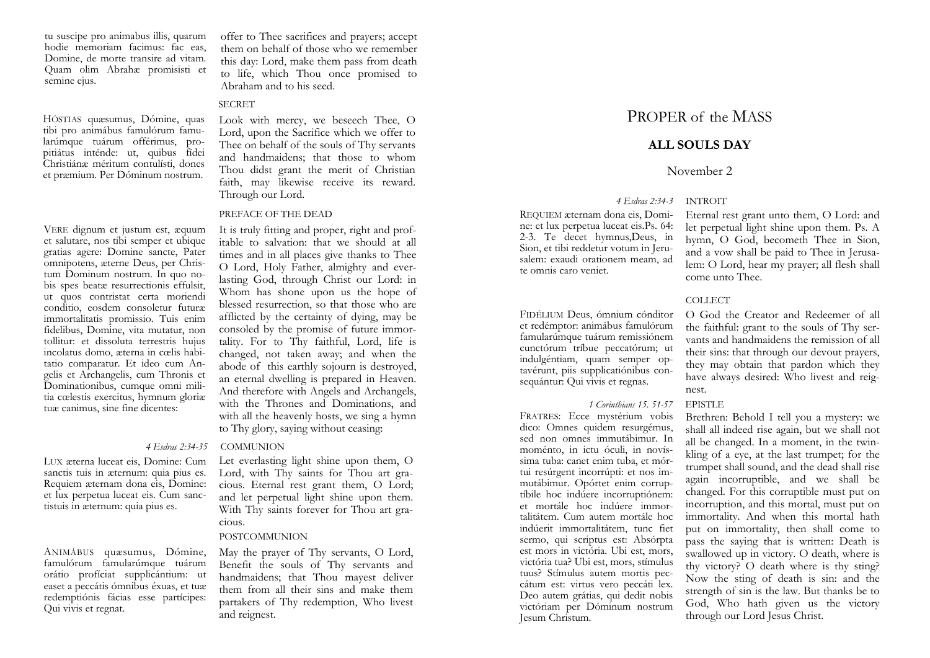tu suscipe pro animabus illis, quarum hodie memoriam facimus: fac eas, Domine, de morte transire ad vitam. Quam olim Abrahæ promisisti et semine ejus.

HÓSTIAS quæsumus, Dómine, quas tibi pro animábus famulórum famularúmque tuárum offérimus, propitiátus inténde: ut, quibus fídei Christiánæ méritum contulísti, dones et præmium. Per Dóminum nostrum.

VERE dignum et justum est, æquum et salutare, nos tibi semper et ubique gratias agere: Domine sancte, Pater omnipotens, æterne Deus, per Christum Dominum nostrum. In quo nobis spes beatæ resurrectionis effulsit, ut quos contristat certa moriendi conditio, eosdem consoletur futuræ immortalitatis promissio. Tuis enim fidelibus, Domine, vita mutatur, non tollitur: et dissoluta terrestris hujus incolatus domo, æterna in cœlis habitatio comparatur. Et ideo cum Angelis et Archangelis, cum Thronis et Dominationibus, cumque omni militia cœlestis exercitus, hymnum gloriæ tuæ canimus, sine fine dicentes:

LUX æterna luceat eis, Domine: Cum sanctis tuis in æternum: quia pius es. Requiem æternam dona eis, Domine: et lux perpetua luceat eis. Cum sanctistuis in æternum: quia pius es.

ANIMÁBUS quæsumus, Dómine, famulórum famularúmque tuárum orátio profíciat supplicántium: ut easet a peccátis ómnibus éxuas, et tuæ redemptiónis fácias esse partícipes: Qui vivis et regnat.

offer to Thee sacrifices and prayers; accept them on behalf of those who we remember this day: Lord, make them pass from death to life, which Thou once promised to Abraham and to his seed.

## **SECRET**

Look with mercy, we beseech Thee, O Lord, upon the Sacrifice which we offer to Thee on behalf of the souls of Thy servants and handmaidens; that those to whom Thou didst grant the merit of Christian faith, may likewise receive its reward. Through our Lord.

### PREFACE OF THE DEAD

It is truly fitting and proper, right and profitable to salvation: that we should at all times and in all places give thanks to Thee O Lord, Holy Father, almighty and everlasting God, through Christ our Lord: in Whom has shone upon us the hope of blessed resurrection, so that those who are afflicted by the certainty of dying, may be consoled by the promise of future immortality. For to Thy faithful, Lord, life is changed, not taken away; and when the abode of this earthly sojourn is destroyed, an eternal dwelling is prepared in Heaven. And therefore with Angels and Archangels, with the Thrones and Dominations, and with all the heavenly hosts, we sing a hymn to Thy glory, saying without ceasing:

## *4 Esdras 2:34-35* COMMUNION

Let everlasting light shine upon them, O Lord, with Thy saints for Thou art gracious. Eternal rest grant them, O Lord; and let perpetual light shine upon them. With Thy saints forever for Thou art gracious.

### POSTCOMMUNION

May the prayer of Thy servants, O Lord, Benefit the souls of Thy servants and handmaidens; that Thou mayest deliver them from all their sins and make them partakers of Thy redemption, Who livest and reignest.

# PROPER of the MASS

## **ALL SOULS DAY**

## November 2

*4 Esdras 2:34-3* INTROIT

REQUIEM æternam dona eis, Domine: et lux perpetua luceat eis.Ps. 64: 2-3. Te decet hymnus,Deus, in Sion, et tibi reddetur votum in Jerusalem: exaudi orationem meam, ad te omnis caro veniet.

FIDÉLIUM Deus, ómnium cónditor et redémptor: animábus famulórum famularúmque tuárum remissiónem cunctórum tríbue peccatórum; ut indulgéntiam, quam semper optavérunt, piis supplicatiónibus consequántur: Qui vivis et regnas.

## *1 Corinthians 15. 51-57* EPISTLE

FRATRES: Ecce mystérium vobis dico: Omnes quidem resurgémus, sed non omnes immutábimur. In moménto, in ictu óculi, in novíssima tuba: canet enim tuba, et mórtui resúrgent incorrúpti: et nos immutábimur. Opórtet enim corruptíbile hoc indúere incorruptiónem: et mortále hoc indúere immortalitátem. Cum autem mortále hoc indúerit immortalitátem, tunc fiet sermo, qui scriptus est: Absórpta est mors in victória. Ubi est, mors, victória tua? Ubi est, mors, stímulus tuus? Stímulus autem mortis peccátum est: virtus vero peccáti lex. Deo autem grátias, qui dedit nobis victóriam per Dóminum nostrum Jesum Christum.

Eternal rest grant unto them, O Lord: and let perpetual light shine upon them. Ps. A hymn, O God, becometh Thee in Sion, and a vow shall be paid to Thee in Jerusalem: O Lord, hear my prayer; all flesh shall come unto Thee.

## COLLECT

O God the Creator and Redeemer of all the faithful: grant to the souls of Thy servants and handmaidens the remission of all their sins: that through our devout prayers, they may obtain that pardon which they have always desired: Who livest and reignest.

Brethren: Behold I tell you a mystery: we shall all indeed rise again, but we shall not all be changed. In a moment, in the twinkling of a eye, at the last trumpet; for the trumpet shall sound, and the dead shall rise again incorruptible, and we shall be changed. For this corruptible must put on incorruption, and this mortal, must put on immortality. And when this mortal hath put on immortality, then shall come to pass the saying that is written: Death is swallowed up in victory. O death, where is thy victory? O death where is thy sting? Now the sting of death is sin: and the strength of sin is the law. But thanks be to God, Who hath given us the victory through our Lord Jesus Christ.